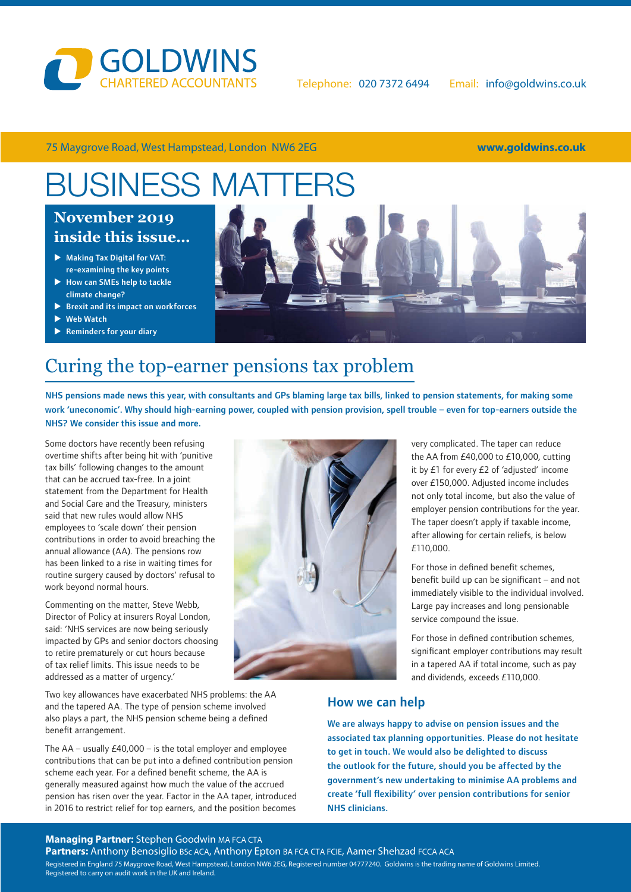

75 Maygrove Road, West Hampstead, London NW6 2EG **www.goldwins.co.uk**

# **BUSINESS MATTE**

### **Winter 2017/18 November 2019 inside this issue… inside this issue…**

- Making Tax Digital for VAT: re-examining the key points
- $\blacktriangleright$  How can SMEs help to tackle climate change?
- $\blacktriangleright$  Brexit and its impact on workforces
- $\blacktriangleright$  Web Watch
- →<br>▶ Reminders for your diary



### Curing the top-earner pensions tax problem

NHS pensions made news this year, with consultants and GPs blaming large tax bills, linked to pension statements, for making some work 'uneconomic'. Why should high-earning power, coupled with pension provision, spell trouble – even for top-earners outside the NHS? We consider this issue and more.

Some doctors have recently been refusing overtime shifts after being hit with 'punitive tax bills' following changes to the amount that can be accrued tax-free. In a joint statement from the Department for Health and Social Care and the Treasury, ministers said that new rules would allow NHS employees to 'scale down' their pension contributions in order to avoid breaching the annual allowance (AA). The pensions row has been linked to a rise in waiting times for routine surgery caused by doctors' refusal to work beyond normal hours.

Commenting on the matter, Steve Webb, Director of Policy at insurers Royal London, said: 'NHS services are now being seriously impacted by GPs and senior doctors choosing to retire prematurely or cut hours because of tax relief limits. This issue needs to be addressed as a matter of urgency.'

Two key allowances have exacerbated NHS problems: the AA and the tapered AA. The type of pension scheme involved also plays a part, the NHS pension scheme being a defined benefit arrangement.

The AA – usually £40,000 – is the total employer and employee contributions that can be put into a defined contribution pension scheme each year. For a defined benefit scheme, the AA is generally measured against how much the value of the accrued pension has risen over the year. Factor in the AA taper, introduced in 2016 to restrict relief for top earners, and the position becomes



very complicated. The taper can reduce the AA from £40,000 to £10,000, cutting it by  $£1$  for every  $£2$  of 'adjusted' income over £150,000. Adjusted income includes not only total income, but also the value of employer pension contributions for the year. The taper doesn't apply if taxable income, after allowing for certain reliefs, is below £110,000.

For those in defined benefit schemes, benefit build up can be significant – and not immediately visible to the individual involved. Large pay increases and long pensionable service compound the issue.

For those in defined contribution schemes, significant employer contributions may result in a tapered AA if total income, such as pay and dividends, exceeds £110,000.

#### How we can help

We are always happy to advise on pension issues and the associated tax planning opportunities. Please do not hesitate to get in touch. We would also be delighted to discuss the outlook for the future, should you be affected by the government's new undertaking to minimise AA problems and create 'full flexibility' over pension contributions for senior NHS clinicians.

#### **Managing Partner:** Stephen Goodwin MA FCA CTA

Partners: Anthony Benosiglio BSc ACA, Anthony Epton BA FCA CTA FCIE, Aamer Shehzad FCCA ACA Registered in England 75 Maygrove Road, West Hampstead, London NW6 2EG, Registered number 04777240. Goldwins is the trading name of Goldwins Limited. Registered to carry on audit work in the UK and Ireland.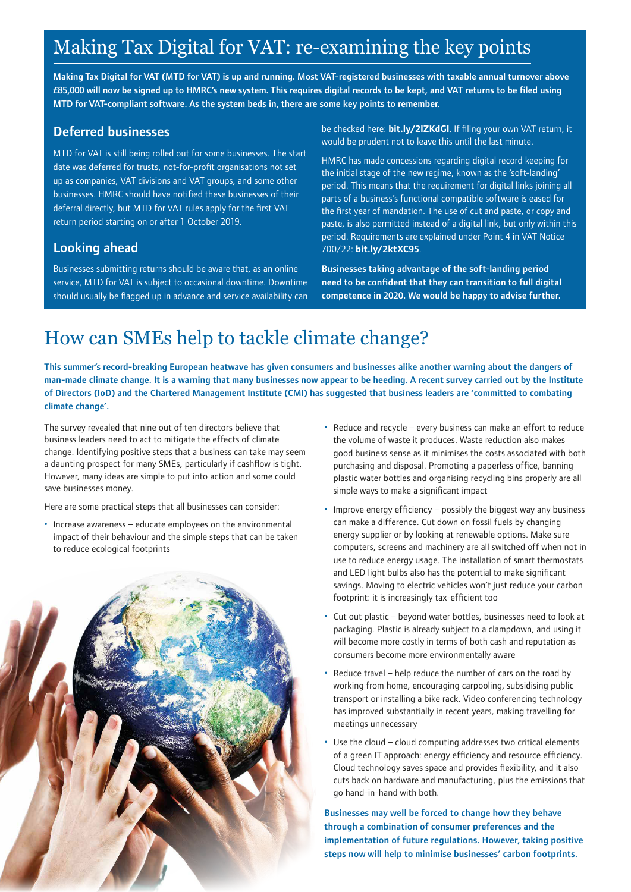### Making Tax Digital for VAT: re-examining the key points

Making Tax Digital for VAT (MTD for VAT) is up and running. Most VAT-registered businesses with taxable annual turnover above £85,000 will now be signed up to HMRC's new system. This requires digital records to be kept, and VAT returns to be filed using MTD for VAT-compliant software. As the system beds in, there are some key points to remember.

#### Deferred businesses

MTD for VAT is still being rolled out for some businesses. The start date was deferred for trusts, not-for-profit organisations not set up as companies, VAT divisions and VAT groups, and some other businesses. HMRC should have notified these businesses of their deferral directly, but MTD for VAT rules apply for the first VAT return period starting on or after 1 October 2019.

#### Looking ahead

Businesses submitting returns should be aware that, as an online service, MTD for VAT is subject to occasional downtime. Downtime should usually be flagged up in advance and service availability can be checked here: **[bit.ly/2lZKdGl](https://www.gov.uk/government/publications/making-tax-digital-for-vat-service-availability-and-issues/making-tax-digital-for-vat-service-availability-and-issues)**. If filing your own VAT return, it would be prudent not to leave this until the last minute.

HMRC has made concessions regarding digital record keeping for the initial stage of the new regime, known as the 'soft-landing' period. This means that the requirement for digital links joining all parts of a business's functional compatible software is eased for the first year of mandation. The use of cut and paste, or copy and paste, is also permitted instead of a digital link, but only within this period. Requirements are explained under Point 4 in VAT Notice 700/22: **[bit.ly/2ktXC95](https://www.gov.uk/government/publications/making-tax-digital-for-vat-service-availability-and-issues/making-tax-digital-for-vat-service-availability-and-issues)**.

Businesses taking advantage of the soft-landing period need to be confident that they can transition to full digital competence in 2020. We would be happy to advise further.

### How can SMEs help to tackle climate change?

This summer's record-breaking European heatwave has given consumers and businesses alike another warning about the dangers of man-made climate change. It is a warning that many businesses now appear to be heeding. A recent survey carried out by the Institute of Directors (IoD) and the Chartered Management Institute (CMI) has suggested that business leaders are 'committed to combating climate change'.

The survey revealed that nine out of ten directors believe that business leaders need to act to mitigate the effects of climate change. Identifying positive steps that a business can take may seem a daunting prospect for many SMEs, particularly if cashflow is tight. However, many ideas are simple to put into action and some could save businesses money.

Here are some practical steps that all businesses can consider:

• Increase awareness – educate employees on the environmental impact of their behaviour and the simple steps that can be taken to reduce ecological footprints



- Reduce and recycle every business can make an effort to reduce the volume of waste it produces. Waste reduction also makes good business sense as it minimises the costs associated with both purchasing and disposal. Promoting a paperless office, banning plastic water bottles and organising recycling bins properly are all simple ways to make a significant impact
- Improve energy efficiency possibly the biggest way any business can make a difference. Cut down on fossil fuels by changing energy supplier or by looking at renewable options. Make sure computers, screens and machinery are all switched off when not in use to reduce energy usage. The installation of smart thermostats and LED light bulbs also has the potential to make significant savings. Moving to electric vehicles won't just reduce your carbon footprint: it is increasingly tax-efficient too
- Cut out plastic beyond water bottles, businesses need to look at packaging. Plastic is already subject to a clampdown, and using it will become more costly in terms of both cash and reputation as consumers become more environmentally aware
- Reduce travel help reduce the number of cars on the road by working from home, encouraging carpooling, subsidising public transport or installing a bike rack. Video conferencing technology has improved substantially in recent years, making travelling for meetings unnecessary
- Use the cloud cloud computing addresses two critical elements of a green IT approach: energy efficiency and resource efficiency. Cloud technology saves space and provides flexibility, and it also cuts back on hardware and manufacturing, plus the emissions that go hand-in-hand with both.

Businesses may well be forced to change how they behave through a combination of consumer preferences and the implementation of future regulations. However, taking positive steps now will help to minimise businesses' carbon footprints.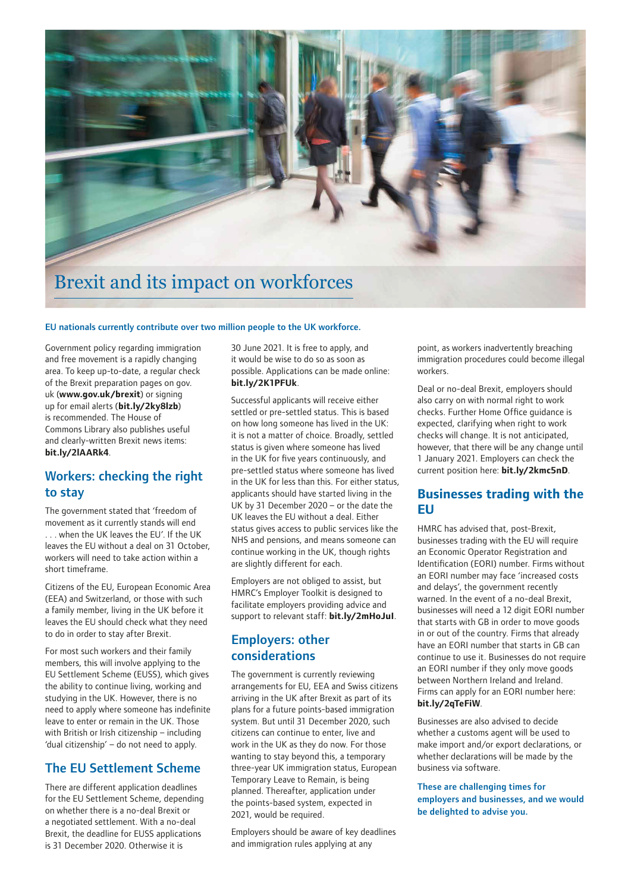

#### EU nationals currently contribute over two million people to the UK workforce.

Government policy regarding immigration and free movement is a rapidly changing area. To keep up-to-date, a regular check of the Brexit preparation pages on gov. uk (**[www.gov.uk/brexit](https://www.gov.uk/brexit)**) or signing up for email alerts (**[bit.ly/2ky8lzb](https://www.gov.uk/email-signup/confirm?link=%2Fentering-staying-uk%2Frights-eu-eea-citizens)**) is recommended. The House of Commons Library also publishes useful and clearly-written Brexit news items: **[bit.ly/2lAARk4](https://commonslibrary.parliament.uk/category/brexit/policy/)**.

#### Workers: checking the right to stay

The government stated that 'freedom of movement as it currently stands will end . . . when the UK leaves the EU'. If the UK leaves the EU without a deal on 31 October, workers will need to take action within a short timeframe.

Citizens of the EU, European Economic Area (EEA) and Switzerland, or those with such a family member, living in the UK before it leaves the EU should check what they need to do in order to stay after Brexit.

For most such workers and their family members, this will involve applying to the EU Settlement Scheme (EUSS), which gives the ability to continue living, working and studying in the UK. However, there is no need to apply where someone has indefinite leave to enter or remain in the UK. Those with British or Irish citizenship – including 'dual citizenship' – do not need to apply.

#### The EU Settlement Scheme

There are different application deadlines for the EU Settlement Scheme, depending on whether there is a no-deal Brexit or a negotiated settlement. With a no-deal Brexit, the deadline for EUSS applications is 31 December 2020. Otherwise it is

30 June 2021. It is free to apply, and it would be wise to do so as soon as possible. Applications can be made online: **[bit.ly/2K1PFUk](https://www.gov.uk/settled-status-eu-citizens-families)**.

Successful applicants will receive either settled or pre-settled status. This is based on how long someone has lived in the UK: it is not a matter of choice. Broadly, settled status is given where someone has lived in the UK for five years continuously, and pre-settled status where someone has lived in the UK for less than this. For either status, applicants should have started living in the UK by 31 December 2020 – or the date the UK leaves the EU without a deal. Either status gives access to public services like the NHS and pensions, and means someone can continue working in the UK, though rights are slightly different for each.

Employers are not obliged to assist, but HMRC's Employer Toolkit is designed to facilitate employers providing advice and support to relevant staff: **[bit.ly/2mHoJuI](https://www.gov.uk/government/publications/eu-settlement-scheme-employer-toolkit)**.

#### Employers: other considerations

The government is currently reviewing arrangements for EU, EEA and Swiss citizens arriving in the UK after Brexit as part of its plans for a future points-based immigration system. But until 31 December 2020, such citizens can continue to enter, live and work in the UK as they do now. For those wanting to stay beyond this, a temporary three-year UK immigration status, European Temporary Leave to Remain, is being planned. Thereafter, application under the points-based system, expected in 2021, would be required.

Employers should be aware of key deadlines and immigration rules applying at any

point, as workers inadvertently breaching immigration procedures could become illegal workers.

Deal or no-deal Brexit, employers should also carry on with normal right to work checks. Further Home Office guidance is expected, clarifying when right to work checks will change. It is not anticipated, however, that there will be any change until 1 January 2021. Employers can check the current position here: **[bit.ly/2kmc5nD](https://www.gov.uk/guidance/employing-eu-eea-and-swiss-citizens-and-their-family-members-after-brexit?utm_source=8d9439db-ed02-42fa-a7e3-951a1d568bb8&utm_medium=email&utm_campaign=govuk-notifications&utm_content=daily)**.

#### **Businesses trading with the EU**

HMRC has advised that, post-Brexit, businesses trading with the EU will require an Economic Operator Registration and Identification (EORI) number. Firms without an EORI number may face 'increased costs and delays', the government recently warned. In the event of a no-deal Brexit, businesses will need a 12 digit EORI number that starts with GB in order to move goods in or out of the country. Firms that already have an EORI number that starts in GB can continue to use it. Businesses do not require an EORI number if they only move goods between Northern Ireland and Ireland. Firms can apply for an EORI number here: **[bit.ly/2qTeFiW](https://bit.ly/2qTeFiW)**.

Businesses are also advised to decide whether a customs agent will be used to make import and/or export declarations, or whether declarations will be made by the business via software.

#### These are challenging times for employers and businesses, and we would be delighted to advise you.